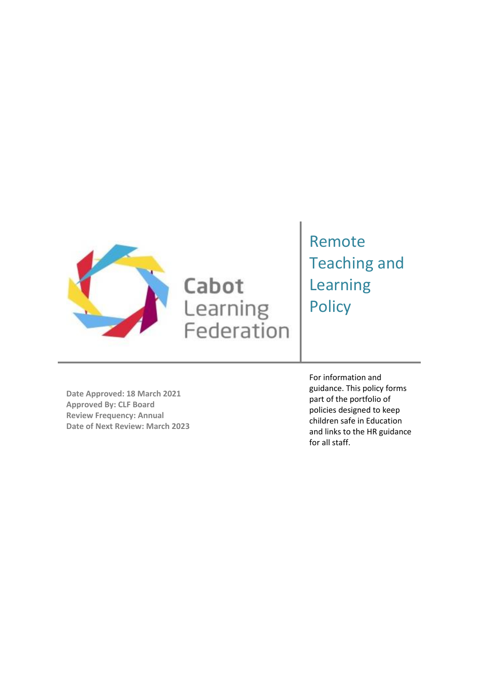

# Cabot Learning<br>Federation

# Remote Teaching and Learning **Policy**

**Date Approved: 18 March 2021 Approved By: CLF Board Review Frequency: Annual Date of Next Review: March 2023** For information and guidance. This policy forms part of the portfolio of policies designed to keep children safe in Education and links to the HR guidance for all staff.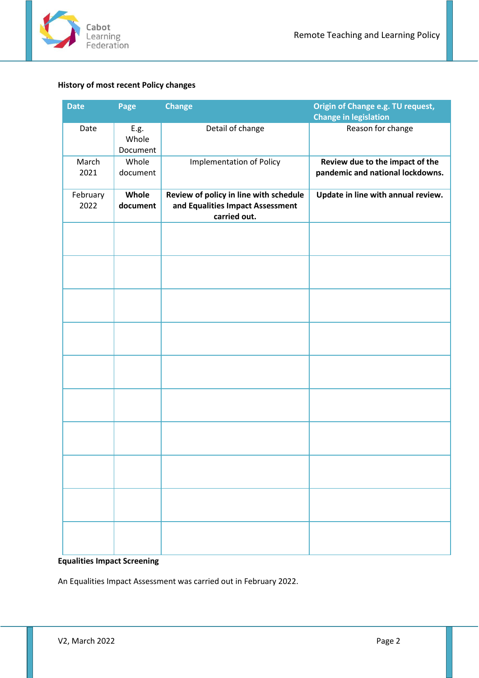

## <span id="page-1-0"></span>**History of most recent Policy changes**

| <b>Date</b>      | Page                              | <b>Change</b>                                                                              | Origin of Change e.g. TU request,<br><b>Change in legislation</b>   |
|------------------|-----------------------------------|--------------------------------------------------------------------------------------------|---------------------------------------------------------------------|
| Date             | ${\sf E.g.}$<br>Whole<br>Document | Detail of change                                                                           | Reason for change                                                   |
| March<br>2021    | Whole<br>document                 | <b>Implementation of Policy</b>                                                            | Review due to the impact of the<br>pandemic and national lockdowns. |
| February<br>2022 | Whole<br>document                 | Review of policy in line with schedule<br>and Equalities Impact Assessment<br>carried out. | Update in line with annual review.                                  |
|                  |                                   |                                                                                            |                                                                     |
|                  |                                   |                                                                                            |                                                                     |
|                  |                                   |                                                                                            |                                                                     |
|                  |                                   |                                                                                            |                                                                     |
|                  |                                   |                                                                                            |                                                                     |
|                  |                                   |                                                                                            |                                                                     |
|                  |                                   |                                                                                            |                                                                     |
|                  |                                   |                                                                                            |                                                                     |
|                  |                                   |                                                                                            |                                                                     |
|                  |                                   |                                                                                            |                                                                     |

# <span id="page-1-1"></span>**Equalities Impact Screening**

An Equalities Impact Assessment was carried out in February 2022.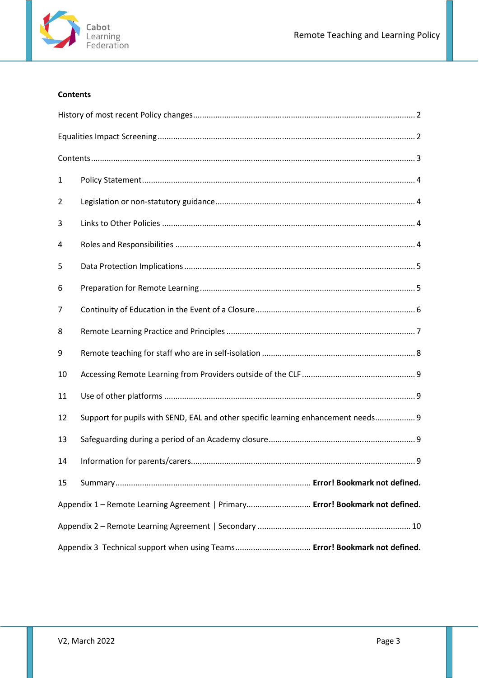

## <span id="page-2-0"></span>**Contents**

| 1                                                                             |                                                                                   |  |  |  |
|-------------------------------------------------------------------------------|-----------------------------------------------------------------------------------|--|--|--|
| 2                                                                             |                                                                                   |  |  |  |
| 3                                                                             |                                                                                   |  |  |  |
| 4                                                                             |                                                                                   |  |  |  |
| 5                                                                             |                                                                                   |  |  |  |
| 6                                                                             |                                                                                   |  |  |  |
| 7                                                                             |                                                                                   |  |  |  |
| 8                                                                             |                                                                                   |  |  |  |
| 9                                                                             |                                                                                   |  |  |  |
| 10                                                                            |                                                                                   |  |  |  |
| 11                                                                            |                                                                                   |  |  |  |
| 12                                                                            | Support for pupils with SEND, EAL and other specific learning enhancement needs 9 |  |  |  |
| 13                                                                            |                                                                                   |  |  |  |
| 14                                                                            |                                                                                   |  |  |  |
| 15                                                                            |                                                                                   |  |  |  |
| Appendix 1 - Remote Learning Agreement   Primary Error! Bookmark not defined. |                                                                                   |  |  |  |
|                                                                               |                                                                                   |  |  |  |
| Appendix 3 Technical support when using Teams Error! Bookmark not defined.    |                                                                                   |  |  |  |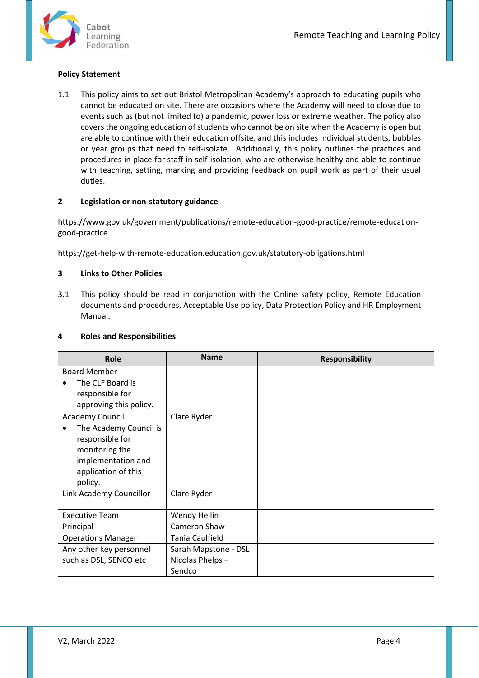

#### <span id="page-3-0"></span>**Policy Statement**

1.1 This policy aims to set out Bristol Metropolitan Academy's approach to educating pupils who cannot be educated on site. There are occasions where the Academy will need to close due to events such as (but not limited to) a pandemic, power loss or extreme weather. The policy also covers the ongoing education of students who cannot be on site when the Academy is open but are able to continue with their education offsite, and this includes individual students, bubbles or year groups that need to self-isolate. Additionally, this policy outlines the practices and procedures in place for staff in self-isolation, who are otherwise healthy and able to continue with teaching, setting, marking and providing feedback on pupil work as part of their usual duties.

#### <span id="page-3-1"></span>**2 Legislation or non-statutory guidance**

https://www.gov.uk/government/publications/remote-education-good-practice/remote-educationgood-practice

https://get-help-with-remote-education.education.gov.uk/statutory-obligations.html

#### <span id="page-3-2"></span>**3 Links to Other Policies**

3.1 This policy should be read in conjunction with the Online safety policy, Remote Education documents and procedures, Acceptable Use policy, Data Protection Policy and HR Employment Manual.

#### <span id="page-3-3"></span>**4 Roles and Responsibilities**

| Role                      | <b>Name</b>          | <b>Responsibility</b> |
|---------------------------|----------------------|-----------------------|
| <b>Board Member</b>       |                      |                       |
| The CLF Board is          |                      |                       |
| responsible for           |                      |                       |
| approving this policy.    |                      |                       |
| Academy Council           | Clare Ryder          |                       |
| The Academy Council is    |                      |                       |
| responsible for           |                      |                       |
| monitoring the            |                      |                       |
| implementation and        |                      |                       |
| application of this       |                      |                       |
| policy.                   |                      |                       |
| Link Academy Councillor   | Clare Ryder          |                       |
|                           |                      |                       |
| <b>Executive Team</b>     | Wendy Hellin         |                       |
| Principal                 | Cameron Shaw         |                       |
| <b>Operations Manager</b> | Tania Caulfield      |                       |
| Any other key personnel   | Sarah Mapstone - DSL |                       |
| such as DSL, SENCO etc    | Nicolas Phelps-      |                       |
|                           | Sendco               |                       |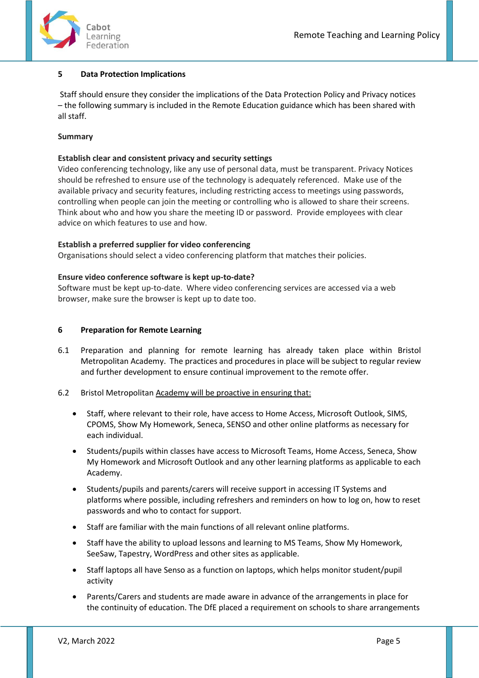

#### <span id="page-4-0"></span>**5 Data Protection Implications**

Staff should ensure they consider the implications of the Data Protection Policy and Privacy notices – the following summary is included in the Remote Education guidance which has been shared with all staff.

#### **Summary**

#### **Establish clear and consistent privacy and security settings**

Video conferencing technology, like any use of personal data, must be transparent. Privacy Notices should be refreshed to ensure use of the technology is adequately referenced. Make use of the available privacy and security features, including restricting access to meetings using passwords, controlling when people can join the meeting or controlling who is allowed to share their screens. Think about who and how you share the meeting ID or password. Provide employees with clear advice on which features to use and how.

#### **Establish a preferred supplier for video conferencing**

Organisations should select a video conferencing platform that matches their policies.

#### **Ensure video conference software is kept up-to-date?**

Software must be kept up-to-date. Where video conferencing services are accessed via a web browser, make sure the browser is kept up to date too.

#### <span id="page-4-1"></span>**6 Preparation for Remote Learning**

6.1 Preparation and planning for remote learning has already taken place within Bristol Metropolitan Academy. The practices and procedures in place will be subject to regular review and further development to ensure continual improvement to the remote offer.

#### 6.2 Bristol Metropolitan Academy will be proactive in ensuring that:

- Staff, where relevant to their role, have access to Home Access, Microsoft Outlook, SIMS, CPOMS, Show My Homework, Seneca, SENSO and other online platforms as necessary for each individual.
- Students/pupils within classes have access to Microsoft Teams, Home Access, Seneca, Show My Homework and Microsoft Outlook and any other learning platforms as applicable to each Academy.
- Students/pupils and parents/carers will receive support in accessing IT Systems and platforms where possible, including refreshers and reminders on how to log on, how to reset passwords and who to contact for support.
- Staff are familiar with the main functions of all relevant online platforms.
- Staff have the ability to upload lessons and learning to MS Teams, Show My Homework, SeeSaw, Tapestry, WordPress and other sites as applicable.
- Staff laptops all have Senso as a function on laptops, which helps monitor student/pupil activity
- Parents/Carers and students are made aware in advance of the arrangements in place for the continuity of education. The DfE placed a requirement on schools to share arrangements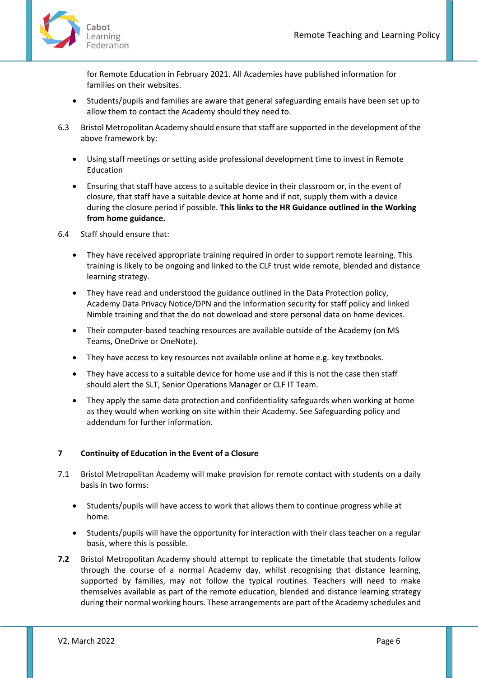

for Remote Education in February 2021. All Academies have published information for families on their websites.

- Students/pupils and families are aware that general safeguarding emails have been set up to allow them to contact the Academy should they need to.
- 6.3 Bristol Metropolitan Academy should ensure that staff are supported in the development of the above framework by:
	- Using staff meetings or setting aside professional development time to invest in Remote Education
	- Ensuring that staff have access to a suitable device in their classroom or, in the event of closure, that staff have a suitable device at home and if not, supply them with a device during the closure period if possible. **This links to the HR Guidance outlined in the Working from home guidance.**
- 6.4 Staff should ensure that:
	- They have received appropriate training required in order to support remote learning. This training is likely to be ongoing and linked to the CLF trust wide remote, blended and distance learning strategy.
	- They have read and understood the guidance outlined in the Data Protection policy, Academy Data Privacy Notice/DPN and the Information security for staff policy and linked Nimble training and that the do not download and store personal data on home devices.
	- Their computer-based teaching resources are available outside of the Academy (on MS Teams, OneDrive or OneNote).
	- They have access to key resources not available online at home e.g. key textbooks.
	- They have access to a suitable device for home use and if this is not the case then staff should alert the SLT, Senior Operations Manager or CLF IT Team.
	- They apply the same data protection and confidentiality safeguards when working at home as they would when working on site within their Academy. See Safeguarding policy and addendum for further information.

#### <span id="page-5-0"></span>**7 Continuity of Education in the Event of a Closure**

- 7.1 Bristol Metropolitan Academy will make provision for remote contact with students on a daily basis in two forms:
	- Students/pupils will have access to work that allows them to continue progress while at home.
	- Students/pupils will have the opportunity for interaction with their class teacher on a regular basis, where this is possible.
- **7.2** Bristol Metropolitan Academy should attempt to replicate the timetable that students follow through the course of a normal Academy day, whilst recognising that distance learning, supported by families, may not follow the typical routines. Teachers will need to make themselves available as part of the remote education, blended and distance learning strategy during their normal working hours. These arrangements are part of the Academy schedules and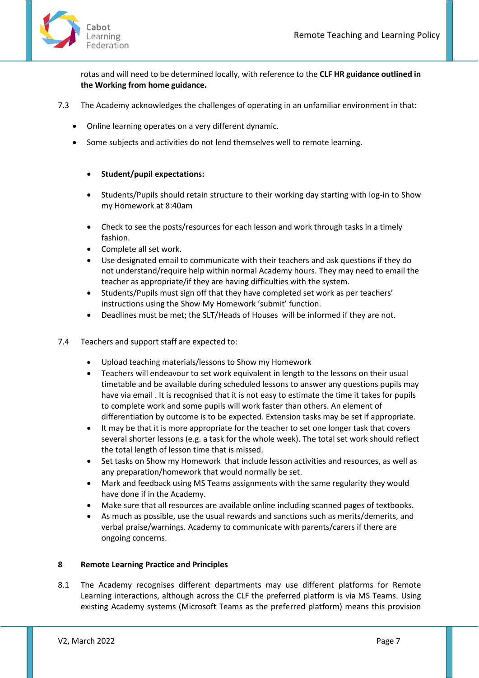

rotas and will need to be determined locally, with reference to the **CLF HR guidance outlined in the Working from home guidance.**

- 7.3 The Academy acknowledges the challenges of operating in an unfamiliar environment in that:
	- Online learning operates on a very different dynamic.
	- Some subjects and activities do not lend themselves well to remote learning.

#### • **Student/pupil expectations:**

- Students/Pupils should retain structure to their working day starting with log-in to Show my Homework at 8:40am
- Check to see the posts/resources for each lesson and work through tasks in a timely fashion.
- Complete all set work.
- Use designated email to communicate with their teachers and ask questions if they do not understand/require help within normal Academy hours. They may need to email the teacher as appropriate/if they are having difficulties with the system.
- Students/Pupils must sign off that they have completed set work as per teachers' instructions using the Show My Homework 'submit' function.
- Deadlines must be met; the SLT/Heads of Houses will be informed if they are not.
- 7.4 Teachers and support staff are expected to:
	- Upload teaching materials/lessons to Show my Homework
	- Teachers will endeavour to set work equivalent in length to the lessons on their usual timetable and be available during scheduled lessons to answer any questions pupils may have via email . It is recognised that it is not easy to estimate the time it takes for pupils to complete work and some pupils will work faster than others. An element of differentiation by outcome is to be expected. Extension tasks may be set if appropriate.
	- It may be that it is more appropriate for the teacher to set one longer task that covers several shorter lessons (e.g. a task for the whole week). The total set work should reflect the total length of lesson time that is missed.
	- Set tasks on Show my Homework that include lesson activities and resources, as well as any preparation/homework that would normally be set.
	- Mark and feedback using MS Teams assignments with the same regularity they would have done if in the Academy.
	- Make sure that all resources are available online including scanned pages of textbooks.
	- As much as possible, use the usual rewards and sanctions such as merits/demerits, and verbal praise/warnings. Academy to communicate with parents/carers if there are ongoing concerns.

#### <span id="page-6-0"></span>**8 Remote Learning Practice and Principles**

8.1 The Academy recognises different departments may use different platforms for Remote Learning interactions, although across the CLF the preferred platform is via MS Teams. Using existing Academy systems (Microsoft Teams as the preferred platform) means this provision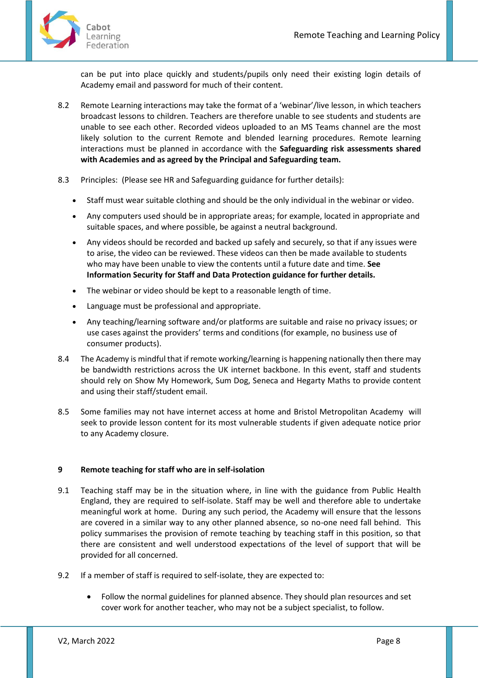

can be put into place quickly and students/pupils only need their existing login details of Academy email and password for much of their content.

- 8.2 Remote Learning interactions may take the format of a 'webinar'/live lesson, in which teachers broadcast lessons to children. Teachers are therefore unable to see students and students are unable to see each other. Recorded videos uploaded to an MS Teams channel are the most likely solution to the current Remote and blended learning procedures. Remote learning interactions must be planned in accordance with the **Safeguarding risk assessments shared with Academies and as agreed by the Principal and Safeguarding team.**
- 8.3 Principles: (Please see HR and Safeguarding guidance for further details):
	- Staff must wear suitable clothing and should be the only individual in the webinar or video.
	- Any computers used should be in appropriate areas; for example, located in appropriate and suitable spaces, and where possible, be against a neutral background.
	- Any videos should be recorded and backed up safely and securely, so that if any issues were to arise, the video can be reviewed. These videos can then be made available to students who may have been unable to view the contents until a future date and time. **See Information Security for Staff and Data Protection guidance for further details.**
	- The webinar or video should be kept to a reasonable length of time.
	- Language must be professional and appropriate.
	- Any teaching/learning software and/or platforms are suitable and raise no privacy issues; or use cases against the providers' terms and conditions (for example, no business use of consumer products).
- 8.4 The Academy is mindful that if remote working/learning is happening nationally then there may be bandwidth restrictions across the UK internet backbone. In this event, staff and students should rely on Show My Homework, Sum Dog, Seneca and Hegarty Maths to provide content and using their staff/student email.
- 8.5 Some families may not have internet access at home and Bristol Metropolitan Academy will seek to provide lesson content for its most vulnerable students if given adequate notice prior to any Academy closure.

#### <span id="page-7-0"></span>**9 Remote teaching for staff who are in self-isolation**

- 9.1 Teaching staff may be in the situation where, in line with the guidance from Public Health England, they are required to self-isolate. Staff may be well and therefore able to undertake meaningful work at home. During any such period, the Academy will ensure that the lessons are covered in a similar way to any other planned absence, so no-one need fall behind. This policy summarises the provision of remote teaching by teaching staff in this position, so that there are consistent and well understood expectations of the level of support that will be provided for all concerned.
- 9.2 If a member of staff is required to self-isolate, they are expected to:
	- Follow the normal guidelines for planned absence. They should plan resources and set cover work for another teacher, who may not be a subject specialist, to follow.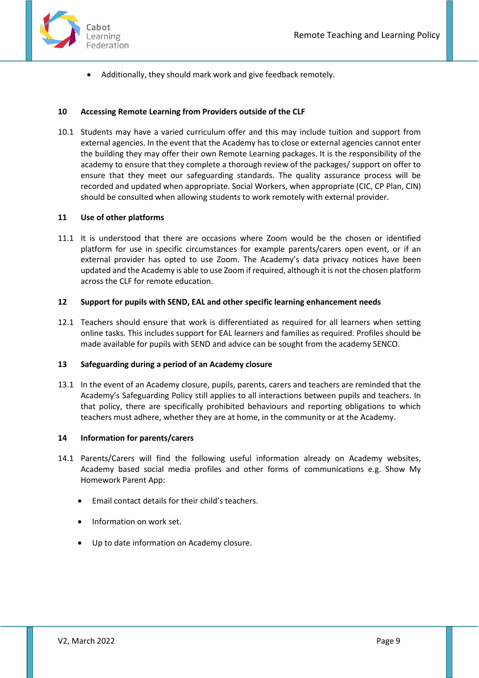

• Additionally, they should mark work and give feedback remotely.

#### <span id="page-8-0"></span>**10 Accessing Remote Learning from Providers outside of the CLF**

10.1 Students may have a varied curriculum offer and this may include tuition and support from external agencies. In the event that the Academy has to close or external agencies cannot enter the building they may offer their own Remote Learning packages. It is the responsibility of the academy to ensure that they complete a thorough review of the packages/ support on offer to ensure that they meet our safeguarding standards. The quality assurance process will be recorded and updated when appropriate. Social Workers, when appropriate (CIC, CP Plan, CIN) should be consulted when allowing students to work remotely with external provider.

#### <span id="page-8-1"></span>**11 Use of other platforms**

11.1 It is understood that there are occasions where Zoom would be the chosen or identified platform for use in specific circumstances for example parents/carers open event, or if an external provider has opted to use Zoom. The Academy's data privacy notices have been updated and the Academy is able to use Zoom if required, although it is not the chosen platform across the CLF for remote education.

#### <span id="page-8-2"></span>**12 Support for pupils with SEND, EAL and other specific learning enhancement needs**

12.1 Teachers should ensure that work is differentiated as required for all learners when setting online tasks. This includes support for EAL learners and families as required. Profiles should be made available for pupils with SEND and advice can be sought from the academy SENCO.

#### <span id="page-8-3"></span>**13 Safeguarding during a period of an Academy closure**

13.1 In the event of an Academy closure, pupils, parents, carers and teachers are reminded that the Academy's Safeguarding Policy still applies to all interactions between pupils and teachers. In that policy, there are specifically prohibited behaviours and reporting obligations to which teachers must adhere, whether they are at home, in the community or at the Academy.

#### <span id="page-8-4"></span>**14 Information for parents/carers**

- 14.1 Parents/Carers will find the following useful information already on Academy websites, Academy based social media profiles and other forms of communications e.g. Show My Homework Parent App:
	- Email contact details for their child's teachers.
	- Information on work set.
	- Up to date information on Academy closure.